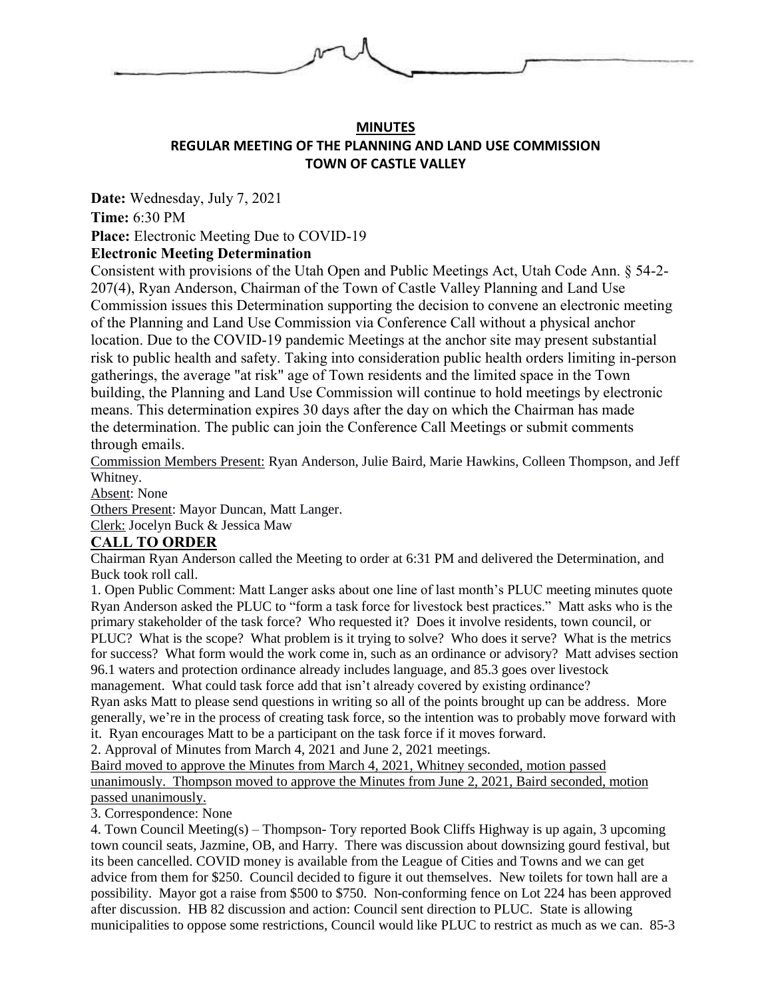

## **MINUTES REGULAR MEETING OF THE PLANNING AND LAND USE COMMISSION TOWN OF CASTLE VALLEY**

**Date:** Wednesday, July 7, 2021

**Time:** 6:30 PM

**Place:** Electronic Meeting Due to COVID-19

## **Electronic Meeting Determination**

Consistent with provisions of the Utah Open and Public Meetings Act, Utah Code Ann. § 54-2- 207(4), Ryan Anderson, Chairman of the Town of Castle Valley Planning and Land Use Commission issues this Determination supporting the decision to convene an electronic meeting of the Planning and Land Use Commission via Conference Call without a physical anchor location. Due to the COVID-19 pandemic Meetings at the anchor site may present substantial risk to public health and safety. Taking into consideration public health orders limiting in-person gatherings, the average "at risk" age of Town residents and the limited space in the Town building, the Planning and Land Use Commission will continue to hold meetings by electronic means. This determination expires 30 days after the day on which the Chairman has made the determination. The public can join the Conference Call Meetings or submit comments through emails.

Commission Members Present: Ryan Anderson, Julie Baird, Marie Hawkins, Colleen Thompson, and Jeff Whitney.

Absent: None

Others Present: Mayor Duncan, Matt Langer.

Clerk: Jocelyn Buck & Jessica Maw

## **CALL TO ORDER**

Chairman Ryan Anderson called the Meeting to order at 6:31 PM and delivered the Determination, and Buck took roll call.

1. Open Public Comment: Matt Langer asks about one line of last month's PLUC meeting minutes quote Ryan Anderson asked the PLUC to "form a task force for livestock best practices." Matt asks who is the primary stakeholder of the task force? Who requested it? Does it involve residents, town council, or PLUC? What is the scope? What problem is it trying to solve? Who does it serve? What is the metrics for success? What form would the work come in, such as an ordinance or advisory? Matt advises section 96.1 waters and protection ordinance already includes language, and 85.3 goes over livestock management. What could task force add that isn't already covered by existing ordinance? Ryan asks Matt to please send questions in writing so all of the points brought up can be address. More generally, we're in the process of creating task force, so the intention was to probably move forward with

it. Ryan encourages Matt to be a participant on the task force if it moves forward.

2. Approval of Minutes from March 4, 2021 and June 2, 2021 meetings.

Baird moved to approve the Minutes from March 4, 2021, Whitney seconded, motion passed unanimously. Thompson moved to approve the Minutes from June 2, 2021, Baird seconded, motion passed unanimously.

3. Correspondence: None

4. Town Council Meeting(s) – Thompson- Tory reported Book Cliffs Highway is up again, 3 upcoming town council seats, Jazmine, OB, and Harry. There was discussion about downsizing gourd festival, but its been cancelled. COVID money is available from the League of Cities and Towns and we can get advice from them for \$250. Council decided to figure it out themselves. New toilets for town hall are a possibility. Mayor got a raise from \$500 to \$750. Non-conforming fence on Lot 224 has been approved after discussion. HB 82 discussion and action: Council sent direction to PLUC. State is allowing municipalities to oppose some restrictions, Council would like PLUC to restrict as much as we can. 85-3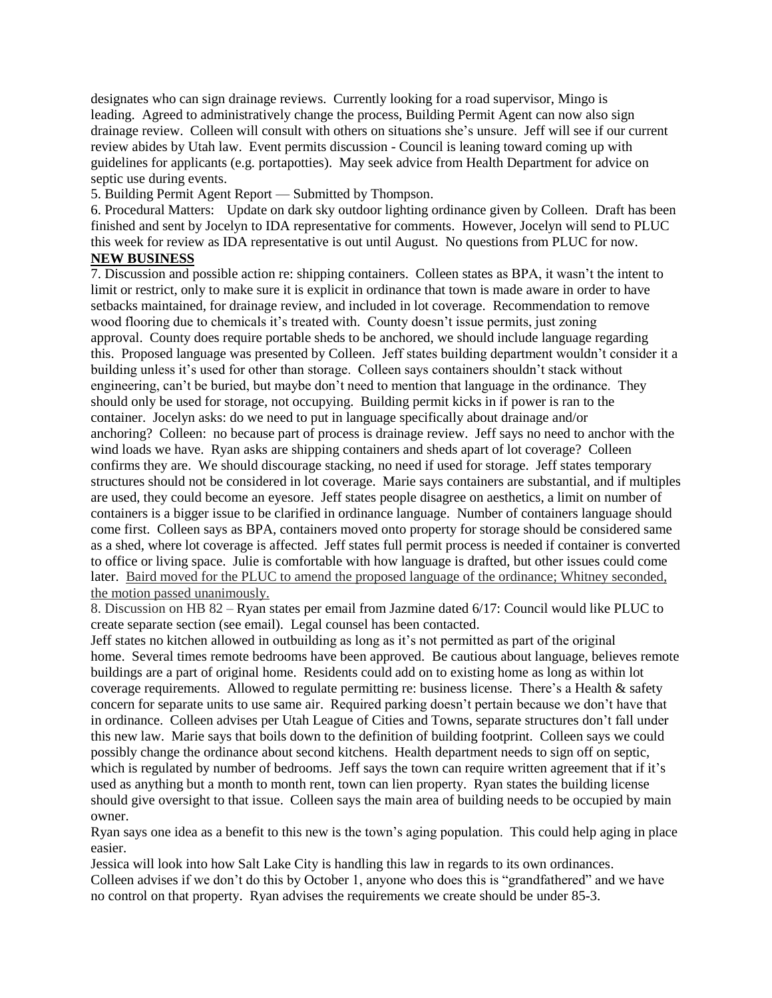designates who can sign drainage reviews. Currently looking for a road supervisor, Mingo is leading. Agreed to administratively change the process, Building Permit Agent can now also sign drainage review. Colleen will consult with others on situations she's unsure. Jeff will see if our current review abides by Utah law. Event permits discussion - Council is leaning toward coming up with guidelines for applicants (e.g. portapotties). May seek advice from Health Department for advice on septic use during events.

5. Building Permit Agent Report — Submitted by Thompson.

6. Procedural Matters: Update on dark sky outdoor lighting ordinance given by Colleen. Draft has been finished and sent by Jocelyn to IDA representative for comments. However, Jocelyn will send to PLUC this week for review as IDA representative is out until August. No questions from PLUC for now.

## **NEW BUSINESS**

7. Discussion and possible action re: shipping containers. Colleen states as BPA, it wasn't the intent to limit or restrict, only to make sure it is explicit in ordinance that town is made aware in order to have setbacks maintained, for drainage review, and included in lot coverage. Recommendation to remove wood flooring due to chemicals it's treated with. County doesn't issue permits, just zoning approval. County does require portable sheds to be anchored, we should include language regarding this. Proposed language was presented by Colleen. Jeff states building department wouldn't consider it a building unless it's used for other than storage. Colleen says containers shouldn't stack without engineering, can't be buried, but maybe don't need to mention that language in the ordinance. They should only be used for storage, not occupying. Building permit kicks in if power is ran to the container. Jocelyn asks: do we need to put in language specifically about drainage and/or anchoring? Colleen: no because part of process is drainage review. Jeff says no need to anchor with the wind loads we have. Ryan asks are shipping containers and sheds apart of lot coverage? Colleen confirms they are. We should discourage stacking, no need if used for storage. Jeff states temporary structures should not be considered in lot coverage. Marie says containers are substantial, and if multiples are used, they could become an eyesore. Jeff states people disagree on aesthetics, a limit on number of containers is a bigger issue to be clarified in ordinance language. Number of containers language should come first. Colleen says as BPA, containers moved onto property for storage should be considered same as a shed, where lot coverage is affected. Jeff states full permit process is needed if container is converted to office or living space. Julie is comfortable with how language is drafted, but other issues could come later. Baird moved for the PLUC to amend the proposed language of the ordinance; Whitney seconded, the motion passed unanimously.

8. Discussion on HB 82 – Ryan states per email from Jazmine dated 6/17: Council would like PLUC to create separate section (see email). Legal counsel has been contacted.

Jeff states no kitchen allowed in outbuilding as long as it's not permitted as part of the original home. Several times remote bedrooms have been approved. Be cautious about language, believes remote buildings are a part of original home. Residents could add on to existing home as long as within lot coverage requirements. Allowed to regulate permitting re: business license. There's a Health & safety concern for separate units to use same air. Required parking doesn't pertain because we don't have that in ordinance. Colleen advises per Utah League of Cities and Towns, separate structures don't fall under this new law. Marie says that boils down to the definition of building footprint. Colleen says we could possibly change the ordinance about second kitchens. Health department needs to sign off on septic, which is regulated by number of bedrooms. Jeff says the town can require written agreement that if it's used as anything but a month to month rent, town can lien property. Ryan states the building license should give oversight to that issue. Colleen says the main area of building needs to be occupied by main owner.

Ryan says one idea as a benefit to this new is the town's aging population. This could help aging in place easier.

Jessica will look into how Salt Lake City is handling this law in regards to its own ordinances. Colleen advises if we don't do this by October 1, anyone who does this is "grandfathered" and we have no control on that property. Ryan advises the requirements we create should be under 85-3.